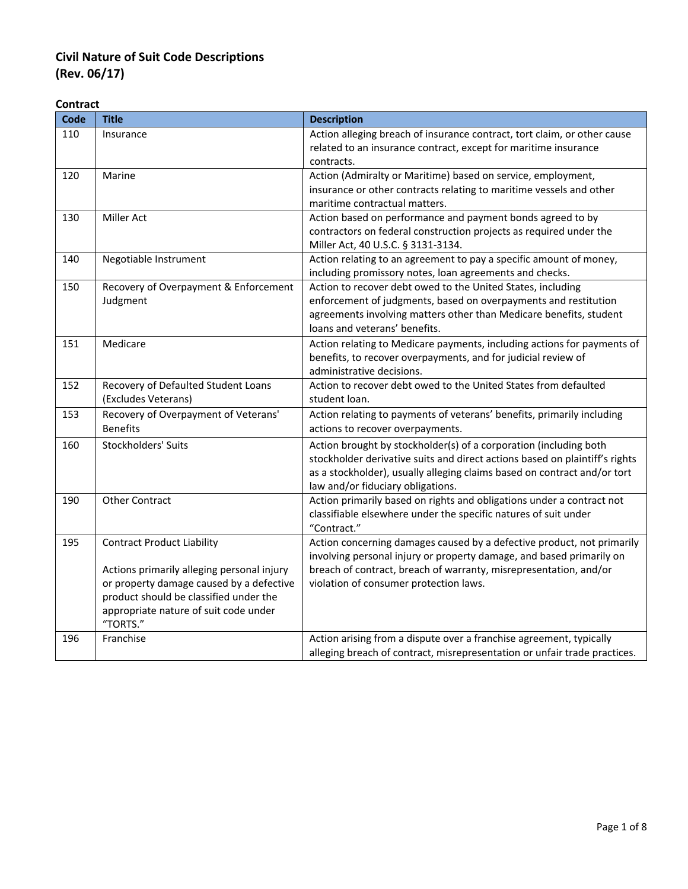#### **Contract**

| Code | <b>Title</b>                                                                                                                                                                                                               | <b>Description</b>                                                                                                                                                                                                                                                |
|------|----------------------------------------------------------------------------------------------------------------------------------------------------------------------------------------------------------------------------|-------------------------------------------------------------------------------------------------------------------------------------------------------------------------------------------------------------------------------------------------------------------|
| 110  | Insurance                                                                                                                                                                                                                  | Action alleging breach of insurance contract, tort claim, or other cause<br>related to an insurance contract, except for maritime insurance<br>contracts.                                                                                                         |
| 120  | Marine                                                                                                                                                                                                                     | Action (Admiralty or Maritime) based on service, employment,<br>insurance or other contracts relating to maritime vessels and other<br>maritime contractual matters.                                                                                              |
| 130  | <b>Miller Act</b>                                                                                                                                                                                                          | Action based on performance and payment bonds agreed to by<br>contractors on federal construction projects as required under the<br>Miller Act, 40 U.S.C. § 3131-3134.                                                                                            |
| 140  | Negotiable Instrument                                                                                                                                                                                                      | Action relating to an agreement to pay a specific amount of money,<br>including promissory notes, loan agreements and checks.                                                                                                                                     |
| 150  | Recovery of Overpayment & Enforcement<br>Judgment                                                                                                                                                                          | Action to recover debt owed to the United States, including<br>enforcement of judgments, based on overpayments and restitution<br>agreements involving matters other than Medicare benefits, student<br>loans and veterans' benefits.                             |
| 151  | Medicare                                                                                                                                                                                                                   | Action relating to Medicare payments, including actions for payments of<br>benefits, to recover overpayments, and for judicial review of<br>administrative decisions.                                                                                             |
| 152  | Recovery of Defaulted Student Loans<br>(Excludes Veterans)                                                                                                                                                                 | Action to recover debt owed to the United States from defaulted<br>student loan.                                                                                                                                                                                  |
| 153  | Recovery of Overpayment of Veterans'<br><b>Benefits</b>                                                                                                                                                                    | Action relating to payments of veterans' benefits, primarily including<br>actions to recover overpayments.                                                                                                                                                        |
| 160  | Stockholders' Suits                                                                                                                                                                                                        | Action brought by stockholder(s) of a corporation (including both<br>stockholder derivative suits and direct actions based on plaintiff's rights<br>as a stockholder), usually alleging claims based on contract and/or tort<br>law and/or fiduciary obligations. |
| 190  | <b>Other Contract</b>                                                                                                                                                                                                      | Action primarily based on rights and obligations under a contract not<br>classifiable elsewhere under the specific natures of suit under<br>"Contract."                                                                                                           |
| 195  | <b>Contract Product Liability</b><br>Actions primarily alleging personal injury<br>or property damage caused by a defective<br>product should be classified under the<br>appropriate nature of suit code under<br>"TORTS." | Action concerning damages caused by a defective product, not primarily<br>involving personal injury or property damage, and based primarily on<br>breach of contract, breach of warranty, misrepresentation, and/or<br>violation of consumer protection laws.     |
| 196  | Franchise                                                                                                                                                                                                                  | Action arising from a dispute over a franchise agreement, typically<br>alleging breach of contract, misrepresentation or unfair trade practices.                                                                                                                  |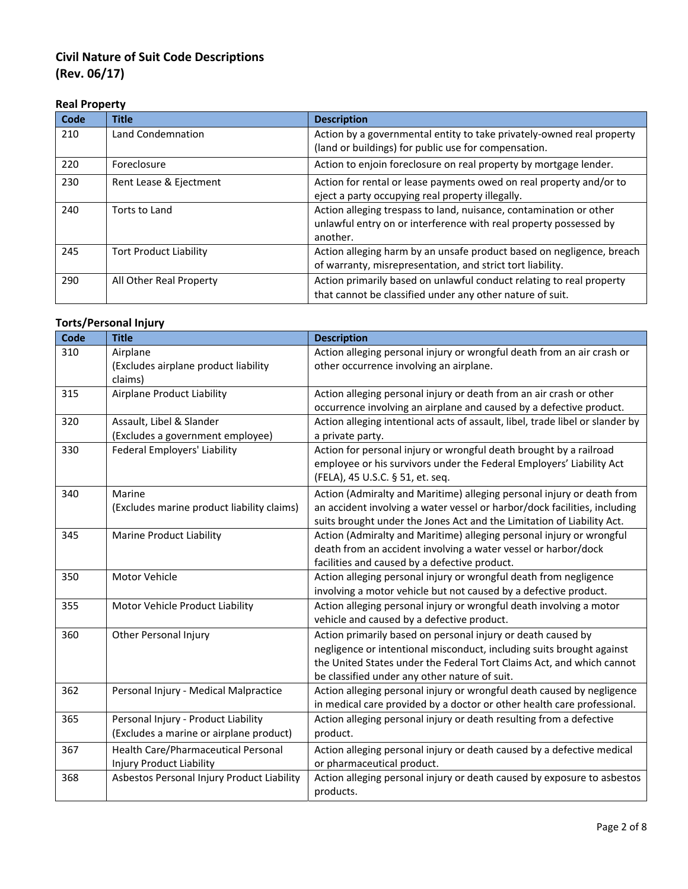### **Real Property**

| Code | <b>Title</b>                  | <b>Description</b>                                                                                                                                  |
|------|-------------------------------|-----------------------------------------------------------------------------------------------------------------------------------------------------|
| 210  | Land Condemnation             | Action by a governmental entity to take privately-owned real property<br>(land or buildings) for public use for compensation.                       |
| 220  | Foreclosure                   | Action to enjoin foreclosure on real property by mortgage lender.                                                                                   |
| 230  | Rent Lease & Ejectment        | Action for rental or lease payments owed on real property and/or to<br>eject a party occupying real property illegally.                             |
| 240  | Torts to Land                 | Action alleging trespass to land, nuisance, contamination or other<br>unlawful entry on or interference with real property possessed by<br>another. |
| 245  | <b>Tort Product Liability</b> | Action alleging harm by an unsafe product based on negligence, breach<br>of warranty, misrepresentation, and strict tort liability.                 |
| 290  | All Other Real Property       | Action primarily based on unlawful conduct relating to real property<br>that cannot be classified under any other nature of suit.                   |

## **Torts/Personal Injury**

| <b>Code</b> | <b>Title</b>                               | <b>Description</b>                                                            |
|-------------|--------------------------------------------|-------------------------------------------------------------------------------|
| 310         | Airplane                                   | Action alleging personal injury or wrongful death from an air crash or        |
|             | (Excludes airplane product liability       | other occurrence involving an airplane.                                       |
|             | claims)                                    |                                                                               |
| 315         | Airplane Product Liability                 | Action alleging personal injury or death from an air crash or other           |
|             |                                            | occurrence involving an airplane and caused by a defective product.           |
| 320         | Assault, Libel & Slander                   | Action alleging intentional acts of assault, libel, trade libel or slander by |
|             | (Excludes a government employee)           | a private party.                                                              |
| 330         | <b>Federal Employers' Liability</b>        | Action for personal injury or wrongful death brought by a railroad            |
|             |                                            | employee or his survivors under the Federal Employers' Liability Act          |
|             |                                            | (FELA), 45 U.S.C. § 51, et. seq.                                              |
| 340         | Marine                                     | Action (Admiralty and Maritime) alleging personal injury or death from        |
|             | (Excludes marine product liability claims) | an accident involving a water vessel or harbor/dock facilities, including     |
|             |                                            | suits brought under the Jones Act and the Limitation of Liability Act.        |
| 345         | <b>Marine Product Liability</b>            | Action (Admiralty and Maritime) alleging personal injury or wrongful          |
|             |                                            | death from an accident involving a water vessel or harbor/dock                |
|             |                                            | facilities and caused by a defective product.                                 |
| 350         | Motor Vehicle                              | Action alleging personal injury or wrongful death from negligence             |
|             |                                            | involving a motor vehicle but not caused by a defective product.              |
| 355         | Motor Vehicle Product Liability            | Action alleging personal injury or wrongful death involving a motor           |
|             |                                            | vehicle and caused by a defective product.                                    |
| 360         | Other Personal Injury                      | Action primarily based on personal injury or death caused by                  |
|             |                                            | negligence or intentional misconduct, including suits brought against         |
|             |                                            | the United States under the Federal Tort Claims Act, and which cannot         |
|             |                                            | be classified under any other nature of suit.                                 |
| 362         | Personal Injury - Medical Malpractice      | Action alleging personal injury or wrongful death caused by negligence        |
|             |                                            | in medical care provided by a doctor or other health care professional.       |
| 365         | Personal Injury - Product Liability        | Action alleging personal injury or death resulting from a defective           |
|             | (Excludes a marine or airplane product)    | product.                                                                      |
| 367         | Health Care/Pharmaceutical Personal        | Action alleging personal injury or death caused by a defective medical        |
|             | Injury Product Liability                   | or pharmaceutical product.                                                    |
| 368         | Asbestos Personal Injury Product Liability | Action alleging personal injury or death caused by exposure to asbestos       |
|             |                                            | products.                                                                     |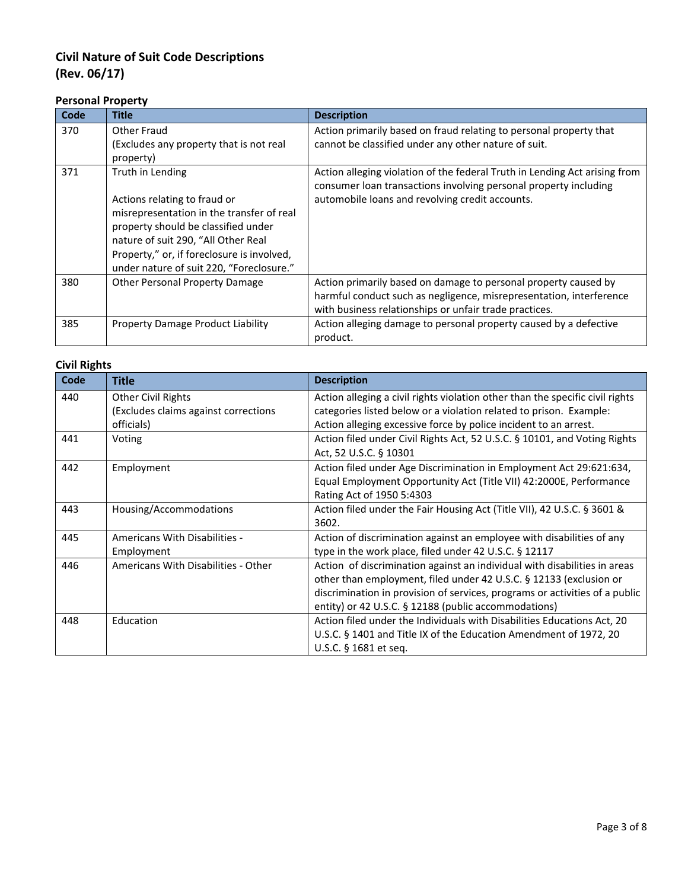### **Personal Property**

| Code | Title                                                                                                                                                                                                                                                                 | <b>Description</b>                                                                                                                                                                                |
|------|-----------------------------------------------------------------------------------------------------------------------------------------------------------------------------------------------------------------------------------------------------------------------|---------------------------------------------------------------------------------------------------------------------------------------------------------------------------------------------------|
| 370  | Other Fraud<br>(Excludes any property that is not real<br>property)                                                                                                                                                                                                   | Action primarily based on fraud relating to personal property that<br>cannot be classified under any other nature of suit.                                                                        |
| 371  | Truth in Lending<br>Actions relating to fraud or<br>misrepresentation in the transfer of real<br>property should be classified under<br>nature of suit 290, "All Other Real<br>Property," or, if foreclosure is involved,<br>under nature of suit 220, "Foreclosure." | Action alleging violation of the federal Truth in Lending Act arising from<br>consumer loan transactions involving personal property including<br>automobile loans and revolving credit accounts. |
| 380  | <b>Other Personal Property Damage</b>                                                                                                                                                                                                                                 | Action primarily based on damage to personal property caused by<br>harmful conduct such as negligence, misrepresentation, interference<br>with business relationships or unfair trade practices.  |
| 385  | <b>Property Damage Product Liability</b>                                                                                                                                                                                                                              | Action alleging damage to personal property caused by a defective<br>product.                                                                                                                     |

#### **Civil Rights**

| Code | <b>Title</b>                                               | <b>Description</b>                                                                                                                                                                                                                                                                     |
|------|------------------------------------------------------------|----------------------------------------------------------------------------------------------------------------------------------------------------------------------------------------------------------------------------------------------------------------------------------------|
| 440  | Other Civil Rights<br>(Excludes claims against corrections | Action alleging a civil rights violation other than the specific civil rights<br>categories listed below or a violation related to prison. Example:                                                                                                                                    |
|      | officials)                                                 | Action alleging excessive force by police incident to an arrest.                                                                                                                                                                                                                       |
| 441  | Voting                                                     | Action filed under Civil Rights Act, 52 U.S.C. § 10101, and Voting Rights<br>Act, 52 U.S.C. § 10301                                                                                                                                                                                    |
| 442  | Employment                                                 | Action filed under Age Discrimination in Employment Act 29:621:634,<br>Equal Employment Opportunity Act (Title VII) 42:2000E, Performance<br>Rating Act of 1950 5:4303                                                                                                                 |
| 443  | Housing/Accommodations                                     | Action filed under the Fair Housing Act (Title VII), 42 U.S.C. § 3601 &<br>3602.                                                                                                                                                                                                       |
| 445  | <b>Americans With Disabilities -</b><br>Employment         | Action of discrimination against an employee with disabilities of any<br>type in the work place, filed under 42 U.S.C. § 12117                                                                                                                                                         |
| 446  | Americans With Disabilities - Other                        | Action of discrimination against an individual with disabilities in areas<br>other than employment, filed under 42 U.S.C. § 12133 (exclusion or<br>discrimination in provision of services, programs or activities of a public<br>entity) or 42 U.S.C. § 12188 (public accommodations) |
| 448  | Education                                                  | Action filed under the Individuals with Disabilities Educations Act, 20<br>U.S.C. § 1401 and Title IX of the Education Amendment of 1972, 20<br>U.S.C. § 1681 et seq.                                                                                                                  |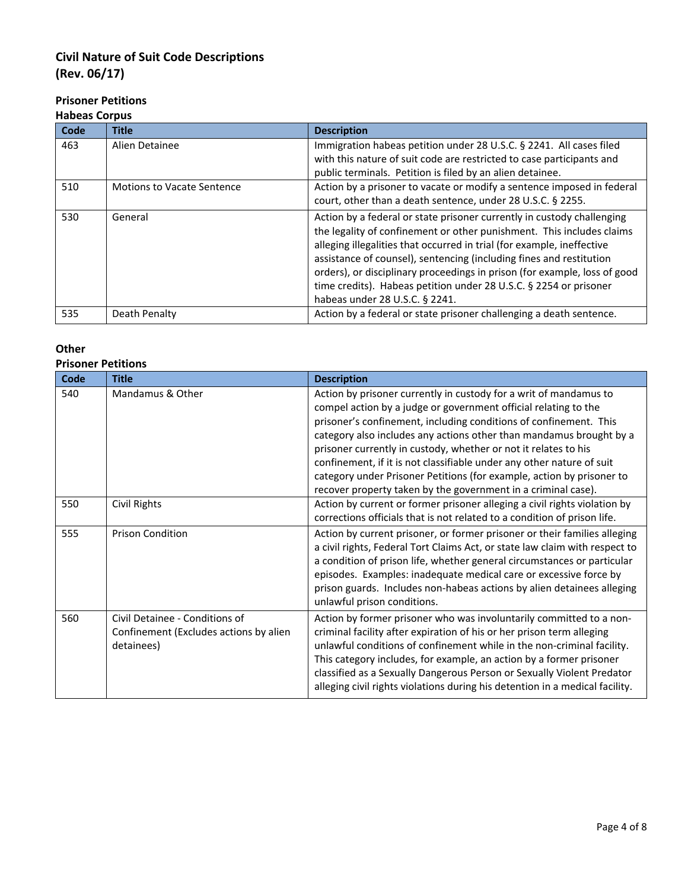## **Prisoner Petitions**

#### **Habeas Corpus**

| Code | <b>Title</b>                      | <b>Description</b>                                                                                                                                                                                                                                                                                                                                                                                                                                                                   |
|------|-----------------------------------|--------------------------------------------------------------------------------------------------------------------------------------------------------------------------------------------------------------------------------------------------------------------------------------------------------------------------------------------------------------------------------------------------------------------------------------------------------------------------------------|
| 463  | Alien Detainee                    | Immigration habeas petition under 28 U.S.C. § 2241. All cases filed<br>with this nature of suit code are restricted to case participants and<br>public terminals. Petition is filed by an alien detainee.                                                                                                                                                                                                                                                                            |
| 510  | <b>Motions to Vacate Sentence</b> | Action by a prisoner to vacate or modify a sentence imposed in federal<br>court, other than a death sentence, under 28 U.S.C. § 2255.                                                                                                                                                                                                                                                                                                                                                |
| 530  | General                           | Action by a federal or state prisoner currently in custody challenging<br>the legality of confinement or other punishment. This includes claims<br>alleging illegalities that occurred in trial (for example, ineffective<br>assistance of counsel), sentencing (including fines and restitution<br>orders), or disciplinary proceedings in prison (for example, loss of good<br>time credits). Habeas petition under 28 U.S.C. § 2254 or prisoner<br>habeas under 28 U.S.C. § 2241. |
| 535  | Death Penalty                     | Action by a federal or state prisoner challenging a death sentence.                                                                                                                                                                                                                                                                                                                                                                                                                  |

### **Other**

#### **Prisoner Petitions**

| Code | <b>Title</b>                                                                           | <b>Description</b>                                                                                                                                                                                                                                                                                                                                                                                                                                                                                                                                                     |
|------|----------------------------------------------------------------------------------------|------------------------------------------------------------------------------------------------------------------------------------------------------------------------------------------------------------------------------------------------------------------------------------------------------------------------------------------------------------------------------------------------------------------------------------------------------------------------------------------------------------------------------------------------------------------------|
| 540  | Mandamus & Other                                                                       | Action by prisoner currently in custody for a writ of mandamus to<br>compel action by a judge or government official relating to the<br>prisoner's confinement, including conditions of confinement. This<br>category also includes any actions other than mandamus brought by a<br>prisoner currently in custody, whether or not it relates to his<br>confinement, if it is not classifiable under any other nature of suit<br>category under Prisoner Petitions (for example, action by prisoner to<br>recover property taken by the government in a criminal case). |
| 550  | Civil Rights                                                                           | Action by current or former prisoner alleging a civil rights violation by<br>corrections officials that is not related to a condition of prison life.                                                                                                                                                                                                                                                                                                                                                                                                                  |
| 555  | <b>Prison Condition</b>                                                                | Action by current prisoner, or former prisoner or their families alleging<br>a civil rights, Federal Tort Claims Act, or state law claim with respect to<br>a condition of prison life, whether general circumstances or particular<br>episodes. Examples: inadequate medical care or excessive force by<br>prison guards. Includes non-habeas actions by alien detainees alleging<br>unlawful prison conditions.                                                                                                                                                      |
| 560  | Civil Detainee - Conditions of<br>Confinement (Excludes actions by alien<br>detainees) | Action by former prisoner who was involuntarily committed to a non-<br>criminal facility after expiration of his or her prison term alleging<br>unlawful conditions of confinement while in the non-criminal facility.<br>This category includes, for example, an action by a former prisoner<br>classified as a Sexually Dangerous Person or Sexually Violent Predator<br>alleging civil rights violations during his detention in a medical facility.                                                                                                                |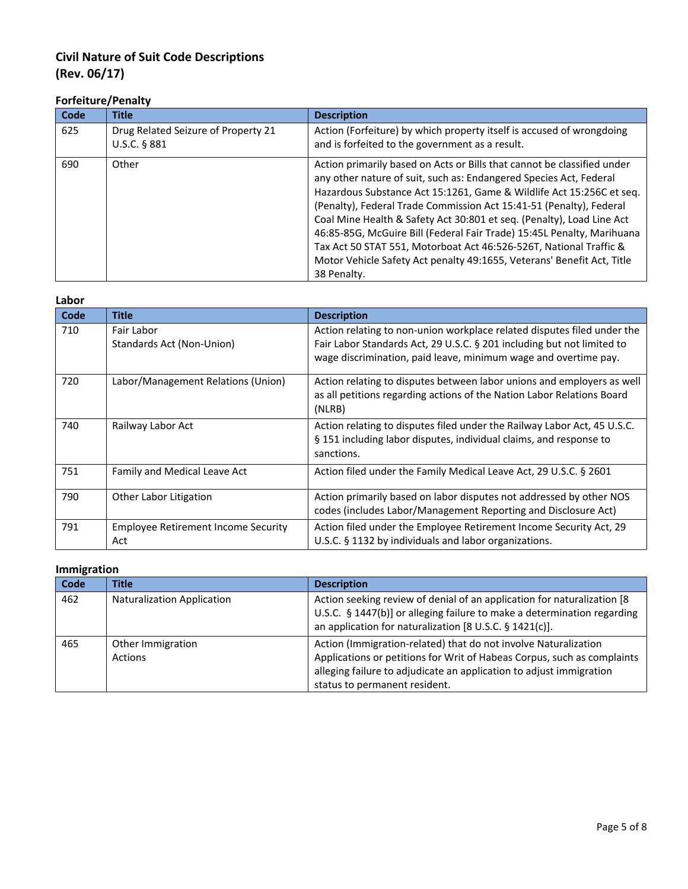## **Forfeiture/Penalty**

| Code | <b>Title</b>                                        | <b>Description</b>                                                                                                                                                                                                                                                                                                                                                                                                                                                                                                                                                                                             |
|------|-----------------------------------------------------|----------------------------------------------------------------------------------------------------------------------------------------------------------------------------------------------------------------------------------------------------------------------------------------------------------------------------------------------------------------------------------------------------------------------------------------------------------------------------------------------------------------------------------------------------------------------------------------------------------------|
| 625  | Drug Related Seizure of Property 21<br>U.S.C. § 881 | Action (Forfeiture) by which property itself is accused of wrongdoing<br>and is forfeited to the government as a result.                                                                                                                                                                                                                                                                                                                                                                                                                                                                                       |
| 690  | Other                                               | Action primarily based on Acts or Bills that cannot be classified under<br>any other nature of suit, such as: Endangered Species Act, Federal<br>Hazardous Substance Act 15:1261, Game & Wildlife Act 15:256C et seq.<br>(Penalty), Federal Trade Commission Act 15:41-51 (Penalty), Federal<br>Coal Mine Health & Safety Act 30:801 et seq. (Penalty), Load Line Act<br>46:85-85G, McGuire Bill (Federal Fair Trade) 15:45L Penalty, Marihuana<br>Tax Act 50 STAT 551, Motorboat Act 46:526-526T, National Traffic &<br>Motor Vehicle Safety Act penalty 49:1655, Veterans' Benefit Act, Title<br>38 Penalty. |

| Labor |                                                   |                                                                                                                                                                                                                      |
|-------|---------------------------------------------------|----------------------------------------------------------------------------------------------------------------------------------------------------------------------------------------------------------------------|
| Code  | <b>Title</b>                                      | <b>Description</b>                                                                                                                                                                                                   |
| 710   | Fair Labor<br>Standards Act (Non-Union)           | Action relating to non-union workplace related disputes filed under the<br>Fair Labor Standards Act, 29 U.S.C. § 201 including but not limited to<br>wage discrimination, paid leave, minimum wage and overtime pay. |
| 720   | Labor/Management Relations (Union)                | Action relating to disputes between labor unions and employers as well<br>as all petitions regarding actions of the Nation Labor Relations Board<br>(NLRB)                                                           |
| 740   | Railway Labor Act                                 | Action relating to disputes filed under the Railway Labor Act, 45 U.S.C.<br>§ 151 including labor disputes, individual claims, and response to<br>sanctions.                                                         |
| 751   | Family and Medical Leave Act                      | Action filed under the Family Medical Leave Act, 29 U.S.C. § 2601                                                                                                                                                    |
| 790   | Other Labor Litigation                            | Action primarily based on labor disputes not addressed by other NOS<br>codes (includes Labor/Management Reporting and Disclosure Act)                                                                                |
| 791   | <b>Employee Retirement Income Security</b><br>Act | Action filed under the Employee Retirement Income Security Act, 29<br>U.S.C. § 1132 by individuals and labor organizations.                                                                                          |

### **Immigration**

| Code | Title                               | <b>Description</b>                                                                                                                                                                                                                                 |
|------|-------------------------------------|----------------------------------------------------------------------------------------------------------------------------------------------------------------------------------------------------------------------------------------------------|
| 462  | <b>Naturalization Application</b>   | Action seeking review of denial of an application for naturalization [8]<br>U.S.C. § 1447(b)] or alleging failure to make a determination regarding<br>an application for naturalization [8 U.S.C. § 1421(c)].                                     |
| 465  | Other Immigration<br><b>Actions</b> | Action (Immigration-related) that do not involve Naturalization<br>Applications or petitions for Writ of Habeas Corpus, such as complaints<br>alleging failure to adjudicate an application to adjust immigration<br>status to permanent resident. |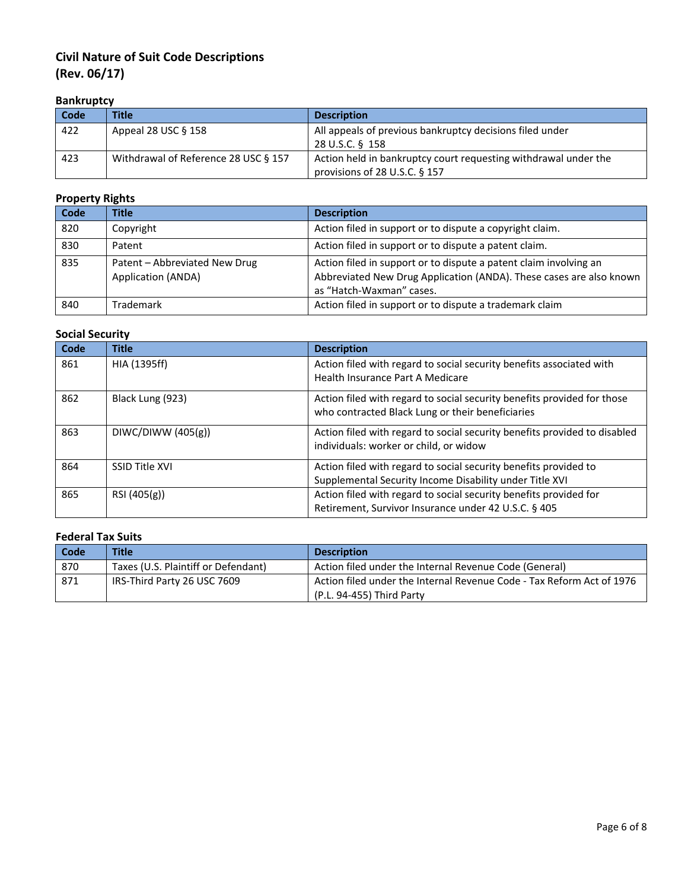## **Bankruptcy**

| Code | <b>Title</b>                         | <b>Description</b>                                              |
|------|--------------------------------------|-----------------------------------------------------------------|
| 422  | Appeal 28 USC $§$ 158                | All appeals of previous bankruptcy decisions filed under        |
|      |                                      | 28 U.S.C. § 158                                                 |
| 423  | Withdrawal of Reference 28 USC § 157 | Action held in bankruptcy court requesting withdrawal under the |
|      |                                      | provisions of 28 U.S.C. $\S$ 157                                |

#### **Property Rights**

| Code | <b>Title</b>                                        | <b>Description</b>                                                                                                                                                   |
|------|-----------------------------------------------------|----------------------------------------------------------------------------------------------------------------------------------------------------------------------|
| 820  | Copyright                                           | Action filed in support or to dispute a copyright claim.                                                                                                             |
| 830  | Patent                                              | Action filed in support or to dispute a patent claim.                                                                                                                |
| 835  | Patent - Abbreviated New Drug<br>Application (ANDA) | Action filed in support or to dispute a patent claim involving an<br>Abbreviated New Drug Application (ANDA). These cases are also known<br>as "Hatch-Waxman" cases. |
| 840  | Trademark                                           | Action filed in support or to dispute a trademark claim                                                                                                              |

## **Social Security**

| Code | <b>Title</b>          | <b>Description</b>                                                        |
|------|-----------------------|---------------------------------------------------------------------------|
| 861  | HIA (1395ff)          | Action filed with regard to social security benefits associated with      |
|      |                       | Health Insurance Part A Medicare                                          |
| 862  | Black Lung (923)      | Action filed with regard to social security benefits provided for those   |
|      |                       | who contracted Black Lung or their beneficiaries                          |
| 863  | DIWC/DIWW (405(g))    | Action filed with regard to social security benefits provided to disabled |
|      |                       | individuals: worker or child, or widow                                    |
| 864  | <b>SSID Title XVI</b> | Action filed with regard to social security benefits provided to          |
|      |                       | Supplemental Security Income Disability under Title XVI                   |
| 865  | RSI (405(g))          | Action filed with regard to social security benefits provided for         |
|      |                       | Retirement, Survivor Insurance under 42 U.S.C. § 405                      |

## **Federal Tax Suits**

| Code | <b>Title</b>                        | <b>Description</b>                                                    |
|------|-------------------------------------|-----------------------------------------------------------------------|
| 870  | Taxes (U.S. Plaintiff or Defendant) | Action filed under the Internal Revenue Code (General)                |
| 871  | IRS-Third Party 26 USC 7609         | Action filed under the Internal Revenue Code - Tax Reform Act of 1976 |
|      |                                     | (P.L. 94-455) Third Party                                             |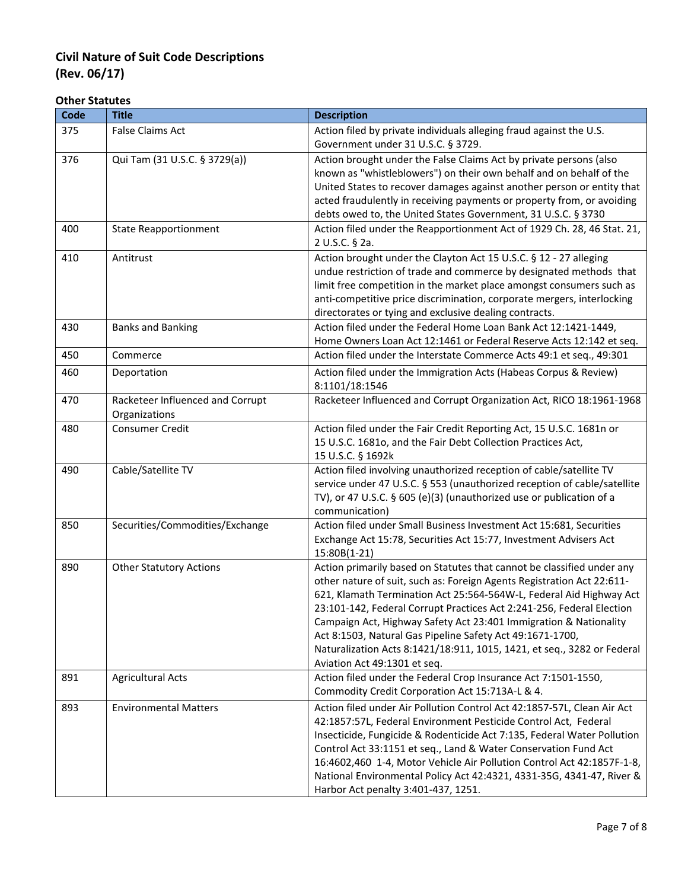#### **Other Statutes**

| Code | <b>Title</b>                     | <b>Description</b>                                                                                                                              |
|------|----------------------------------|-------------------------------------------------------------------------------------------------------------------------------------------------|
| 375  | <b>False Claims Act</b>          | Action filed by private individuals alleging fraud against the U.S.                                                                             |
|      |                                  | Government under 31 U.S.C. § 3729.                                                                                                              |
| 376  | Qui Tam (31 U.S.C. § 3729(a))    | Action brought under the False Claims Act by private persons (also                                                                              |
|      |                                  | known as "whistleblowers") on their own behalf and on behalf of the                                                                             |
|      |                                  | United States to recover damages against another person or entity that                                                                          |
|      |                                  | acted fraudulently in receiving payments or property from, or avoiding                                                                          |
|      |                                  | debts owed to, the United States Government, 31 U.S.C. § 3730                                                                                   |
| 400  | <b>State Reapportionment</b>     | Action filed under the Reapportionment Act of 1929 Ch. 28, 46 Stat. 21,                                                                         |
|      |                                  | 2 U.S.C. § 2a.                                                                                                                                  |
| 410  | Antitrust                        | Action brought under the Clayton Act 15 U.S.C. § 12 - 27 alleging                                                                               |
|      |                                  | undue restriction of trade and commerce by designated methods that                                                                              |
|      |                                  | limit free competition in the market place amongst consumers such as                                                                            |
|      |                                  | anti-competitive price discrimination, corporate mergers, interlocking                                                                          |
|      |                                  | directorates or tying and exclusive dealing contracts.                                                                                          |
| 430  | <b>Banks and Banking</b>         | Action filed under the Federal Home Loan Bank Act 12:1421-1449,                                                                                 |
|      |                                  | Home Owners Loan Act 12:1461 or Federal Reserve Acts 12:142 et seq.                                                                             |
| 450  | Commerce                         | Action filed under the Interstate Commerce Acts 49:1 et seq., 49:301                                                                            |
| 460  | Deportation                      | Action filed under the Immigration Acts (Habeas Corpus & Review)                                                                                |
|      |                                  | 8:1101/18:1546                                                                                                                                  |
| 470  | Racketeer Influenced and Corrupt | Racketeer Influenced and Corrupt Organization Act, RICO 18:1961-1968                                                                            |
|      | Organizations                    |                                                                                                                                                 |
| 480  | <b>Consumer Credit</b>           | Action filed under the Fair Credit Reporting Act, 15 U.S.C. 1681n or                                                                            |
|      |                                  | 15 U.S.C. 1681o, and the Fair Debt Collection Practices Act,                                                                                    |
|      | Cable/Satellite TV               | 15 U.S.C. § 1692k                                                                                                                               |
| 490  |                                  | Action filed involving unauthorized reception of cable/satellite TV<br>service under 47 U.S.C. § 553 (unauthorized reception of cable/satellite |
|      |                                  | TV), or 47 U.S.C. § 605 (e)(3) (unauthorized use or publication of a                                                                            |
|      |                                  | communication)                                                                                                                                  |
| 850  | Securities/Commodities/Exchange  | Action filed under Small Business Investment Act 15:681, Securities                                                                             |
|      |                                  | Exchange Act 15:78, Securities Act 15:77, Investment Advisers Act                                                                               |
|      |                                  | 15:80B(1-21)                                                                                                                                    |
| 890  | <b>Other Statutory Actions</b>   | Action primarily based on Statutes that cannot be classified under any                                                                          |
|      |                                  | other nature of suit, such as: Foreign Agents Registration Act 22:611-                                                                          |
|      |                                  | 621, Klamath Termination Act 25:564-564W-L, Federal Aid Highway Act                                                                             |
|      |                                  | 23:101-142, Federal Corrupt Practices Act 2:241-256, Federal Election                                                                           |
|      |                                  | Campaign Act, Highway Safety Act 23:401 Immigration & Nationality                                                                               |
|      |                                  | Act 8:1503, Natural Gas Pipeline Safety Act 49:1671-1700,                                                                                       |
|      |                                  | Naturalization Acts 8:1421/18:911, 1015, 1421, et seq., 3282 or Federal                                                                         |
|      |                                  | Aviation Act 49:1301 et seq.                                                                                                                    |
| 891  | <b>Agricultural Acts</b>         | Action filed under the Federal Crop Insurance Act 7:1501-1550,                                                                                  |
|      |                                  | Commodity Credit Corporation Act 15:713A-L & 4.                                                                                                 |
| 893  | <b>Environmental Matters</b>     | Action filed under Air Pollution Control Act 42:1857-57L, Clean Air Act                                                                         |
|      |                                  | 42:1857:57L, Federal Environment Pesticide Control Act, Federal                                                                                 |
|      |                                  | Insecticide, Fungicide & Rodenticide Act 7:135, Federal Water Pollution                                                                         |
|      |                                  | Control Act 33:1151 et seq., Land & Water Conservation Fund Act                                                                                 |
|      |                                  | 16:4602,460 1-4, Motor Vehicle Air Pollution Control Act 42:1857F-1-8,                                                                          |
|      |                                  | National Environmental Policy Act 42:4321, 4331-35G, 4341-47, River &                                                                           |
|      |                                  | Harbor Act penalty 3:401-437, 1251.                                                                                                             |